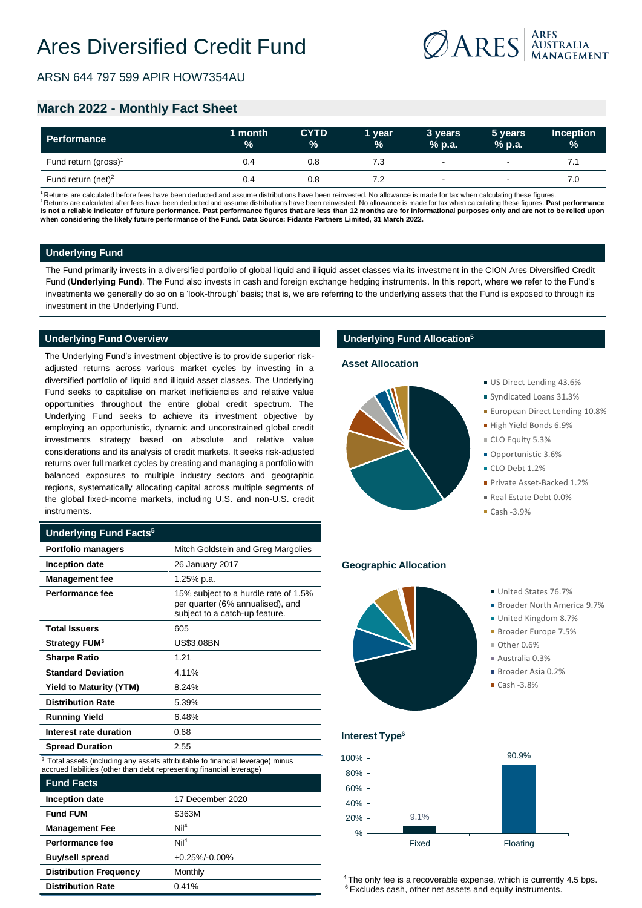

ARSN 644 797 599 APIR HOW7354AU

# **March 2022 - Monthly Fact Sheet**

| Performance                      | 1 month<br>$\frac{9}{6}$ | <b>CYTD</b><br>$\frac{9}{6}$ | 1 year<br>$\%$ | 3 years<br>$%$ p.a.      | 5 years<br>$%$ p.a.      | <b>Inception</b><br>$\frac{9}{6}$ |
|----------------------------------|--------------------------|------------------------------|----------------|--------------------------|--------------------------|-----------------------------------|
| Fund return (gross) <sup>1</sup> | 0.4                      | 0.8                          |                | $\overline{\phantom{a}}$ | $\overline{\phantom{0}}$ |                                   |
| Fund return (net) <sup>2</sup>   | 0.4                      | 0.8                          |                | $\,$                     |                          | 7.C                               |

Returns are calculated before fees have been deducted and assume distributions have been reinvested. No allowance is made for tax when calculating these figures. <sup>2</sup>Returns are calculated after fees have been deducted and assume distributions have been reinvested. No allowance is made for tax when calculating these figures. Past performance **is not a reliable indicator of future performance. Past performance figures that are less than 12 months are for informational purposes only and are not to be relied upon when considering the likely future performance of the Fund. Data Source: Fidante Partners Limited, 31 March 2022.**

### **Underlying Fund**

The Fund primarily invests in a diversified portfolio of global liquid and illiquid asset classes via its investment in the CION Ares Diversified Credit Fund (**Underlying Fund**). The Fund also invests in cash and foreign exchange hedging instruments. In this report, where we refer to the Fund's investments we generally do so on a 'look-through' basis; that is, we are referring to the underlying assets that the Fund is exposed to through its investment in the Underlying Fund.

### **Underlying Fund Overview**

The Underlying Fund's investment objective is to provide superior riskadjusted returns across various market cycles by investing in a diversified portfolio of liquid and illiquid asset classes. The Underlying Fund seeks to capitalise on market inefficiencies and relative value opportunities throughout the entire global credit spectrum. The Underlying Fund seeks to achieve its investment objective by employing an opportunistic, dynamic and unconstrained global credit investments strategy based on absolute and relative value considerations and its analysis of credit markets. It seeks risk-adjusted returns over full market cycles by creating and managing a portfolio with balanced exposures to multiple industry sectors and geographic regions, systematically allocating capital across multiple segments of the global fixed-income markets, including U.S. and non-U.S. credit instruments.

### **Underlying Fund Facts<sup>5</sup>**

| <b>Portfolio managers</b>      | Mitch Goldstein and Greg Margolies                                                                         |
|--------------------------------|------------------------------------------------------------------------------------------------------------|
| <b>Inception date</b>          | 26 January 2017                                                                                            |
| <b>Management fee</b>          | 1.25% p.a.                                                                                                 |
| Performance fee                | 15% subject to a hurdle rate of 1.5%<br>per quarter (6% annualised), and<br>subject to a catch-up feature. |
| <b>Total Issuers</b>           | 605                                                                                                        |
| Strategy FUM <sup>3</sup>      | <b>US\$3.08BN</b>                                                                                          |
| <b>Sharpe Ratio</b>            | 1.21                                                                                                       |
| <b>Standard Deviation</b>      | 4.11%                                                                                                      |
| <b>Yield to Maturity (YTM)</b> | 8.24%                                                                                                      |
| <b>Distribution Rate</b>       | 5.39%                                                                                                      |
| <b>Running Yield</b>           | 6.48%                                                                                                      |
| Interest rate duration         | 0.68                                                                                                       |
| <b>Spread Duration</b>         | 2.55                                                                                                       |

<sup>3</sup> Total assets (including any assets attributable to financial leverage) minus accrued liabilities (other than debt representing financial leverage)

| <b>Fund Facts</b>             |                    |  |
|-------------------------------|--------------------|--|
| Inception date                | 17 December 2020   |  |
| <b>Fund FUM</b>               | \$363M             |  |
| <b>Management Fee</b>         | Nil <sup>4</sup>   |  |
| Performance fee               | Nil <sup>4</sup>   |  |
| <b>Buy/sell spread</b>        | $+0.25\% - 0.00\%$ |  |
| <b>Distribution Frequency</b> | Monthly            |  |
| <b>Distribution Rate</b>      | 0.41%              |  |

### **Underlying Fund Allocation<sup>5</sup>**

#### **Asset Allocation**



### US Direct Lending 43.6%

- Syndicated Loans 31.3%
- **European Direct Lending 10.8%**
- High Yield Bonds 6.9%
- CLO Equity 5.3%
- Opportunistic 3.6%
- CLO Debt 1.2%
- Private Asset-Backed 1.2%
- Real Estate Debt 0.0%
- $Cash -3.9%$

#### **Geographic Allocation**



- Broader North America 9.7%
- United Kingdom 8.7%
- Broader Europe 7.5%
- $\blacksquare$  Other 0.6%
- $\blacksquare$  Australia 0.3%
- Broader Asia 0.2%
- $Cash -3.8%$

# **Interest Type<sup>6</sup>**



<sup>4</sup> The only fee is a recoverable expense, which is currently 4.5 bps. <sup>6</sup> Excludes cash, other net assets and equity instruments.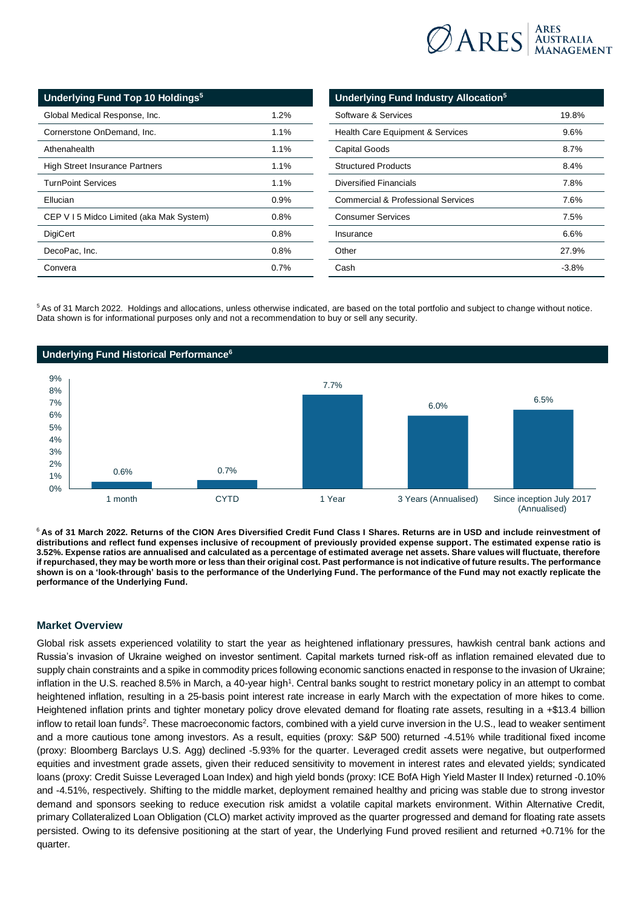

| Underlying Fund Top 10 Holdings <sup>5</sup> |         |  |
|----------------------------------------------|---------|--|
| Global Medical Response, Inc.                | 1.2%    |  |
| Cornerstone OnDemand, Inc.                   | 1.1%    |  |
| Athenahealth                                 | $1.1\%$ |  |
| <b>High Street Insurance Partners</b>        | $1.1\%$ |  |
| <b>TurnPoint Services</b>                    | $1.1\%$ |  |
| Ellucian                                     | 0.9%    |  |
| CEP V I 5 Midco Limited (aka Mak System)     | 0.8%    |  |
| <b>DigiCert</b>                              | 0.8%    |  |
| DecoPac, Inc.                                | 0.8%    |  |
| Convera                                      | $0.7\%$ |  |

| Underlying Fund Industry Allocation <sup>5</sup> |          |  |
|--------------------------------------------------|----------|--|
| Software & Services                              | 19.8%    |  |
| <b>Health Care Equipment &amp; Services</b>      | 9.6%     |  |
| Capital Goods                                    | 8.7%     |  |
| <b>Structured Products</b>                       | 8.4%     |  |
| Diversified Financials                           | 7.8%     |  |
| Commercial & Professional Services               | 7.6%     |  |
| <b>Consumer Services</b>                         | 7.5%     |  |
| Insurance                                        | 6.6%     |  |
| Other                                            | 27.9%    |  |
| Cash                                             | $-3.8\%$ |  |

<sup>5</sup>As of 31 March 2022. Holdings and allocations, unless otherwise indicated, are based on the total portfolio and subject to change without notice. Data shown is for informational purposes only and not a recommendation to buy or sell any security.



<sup>6</sup>**As of 31 March 2022. Returns of the CION Ares Diversified Credit Fund Class I Shares. Returns are in USD and include reinvestment of distributions and reflect fund expenses inclusive of recoupment of previously provided expense support. The estimated expense ratio is 3.52%. Expense ratios are annualised and calculated as a percentage of estimated average net assets. Share values will fluctuate, therefore if repurchased, they may be worth more or less than their original cost. Past performance is not indicative of future results. The performance shown is on a 'look-through' basis to the performance of the Underlying Fund. The performance of the Fund may not exactly replicate the performance of the Underlying Fund.**

### **Market Overview**

Global risk assets experienced volatility to start the year as heightened inflationary pressures, hawkish central bank actions and Russia's invasion of Ukraine weighed on investor sentiment. Capital markets turned risk-off as inflation remained elevated due to supply chain constraints and a spike in commodity prices following economic sanctions enacted in response to the invasion of Ukraine; inflation in the U.S. reached 8.5% in March, a 40-year high<sup>1</sup>. Central banks sought to restrict monetary policy in an attempt to combat heightened inflation, resulting in a 25-basis point interest rate increase in early March with the expectation of more hikes to come. Heightened inflation prints and tighter monetary policy drove elevated demand for floating rate assets, resulting in a +\$13.4 billion inflow to retail loan funds<sup>2</sup>. These macroeconomic factors, combined with a yield curve inversion in the U.S., lead to weaker sentiment and a more cautious tone among investors. As a result, equities (proxy: S&P 500) returned -4.51% while traditional fixed income (proxy: Bloomberg Barclays U.S. Agg) declined -5.93% for the quarter. Leveraged credit assets were negative, but outperformed equities and investment grade assets, given their reduced sensitivity to movement in interest rates and elevated yields; syndicated loans (proxy: Credit Suisse Leveraged Loan Index) and high yield bonds (proxy: ICE BofA High Yield Master II Index) returned -0.10% and -4.51%, respectively. Shifting to the middle market, deployment remained healthy and pricing was stable due to strong investor demand and sponsors seeking to reduce execution risk amidst a volatile capital markets environment. Within Alternative Credit, primary Collateralized Loan Obligation (CLO) market activity improved as the quarter progressed and demand for floating rate assets persisted. Owing to its defensive positioning at the start of year, the Underlying Fund proved resilient and returned +0.71% for the quarter.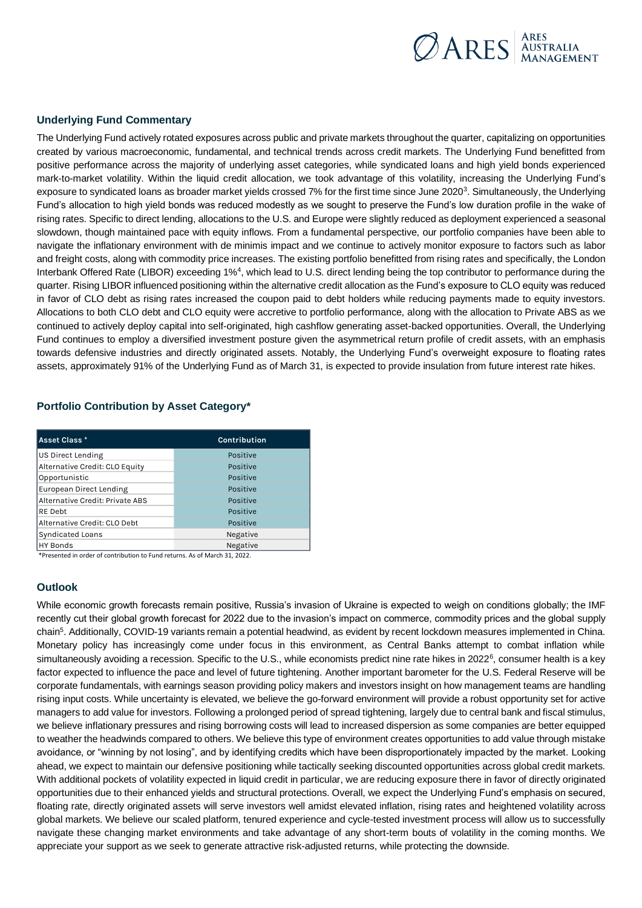

# **Underlying Fund Commentary**

The Underlying Fund actively rotated exposures across public and private markets throughout the quarter, capitalizing on opportunities created by various macroeconomic, fundamental, and technical trends across credit markets. The Underlying Fund benefitted from positive performance across the majority of underlying asset categories, while syndicated loans and high yield bonds experienced mark-to-market volatility. Within the liquid credit allocation, we took advantage of this volatility, increasing the Underlying Fund's exposure to syndicated loans as broader market yields crossed 7% for the first time since June 2020<sup>3</sup>. Simultaneously, the Underlying Fund's allocation to high yield bonds was reduced modestly as we sought to preserve the Fund's low duration profile in the wake of rising rates. Specific to direct lending, allocations to the U.S. and Europe were slightly reduced as deployment experienced a seasonal slowdown, though maintained pace with equity inflows. From a fundamental perspective, our portfolio companies have been able to navigate the inflationary environment with de minimis impact and we continue to actively monitor exposure to factors such as labor and freight costs, along with commodity price increases. The existing portfolio benefitted from rising rates and specifically, the London Interbank Offered Rate (LIBOR) exceeding 1%<sup>4</sup>, which lead to U.S. direct lending being the top contributor to performance during the quarter. Rising LIBOR influenced positioning within the alternative credit allocation as the Fund's exposure to CLO equity was reduced in favor of CLO debt as rising rates increased the coupon paid to debt holders while reducing payments made to equity investors. Allocations to both CLO debt and CLO equity were accretive to portfolio performance, along with the allocation to Private ABS as we continued to actively deploy capital into self-originated, high cashflow generating asset-backed opportunities. Overall, the Underlying Fund continues to employ a diversified investment posture given the asymmetrical return profile of credit assets, with an emphasis towards defensive industries and directly originated assets. Notably, the Underlying Fund's overweight exposure to floating rates assets, approximately 91% of the Underlying Fund as of March 31, is expected to provide insulation from future interest rate hikes.

# **Portfolio Contribution by Asset Category\***

| Asset Class *                   | Contribution |
|---------------------------------|--------------|
| <b>US Direct Lending</b>        | Positive     |
| Alternative Credit: CLO Equity  | Positive     |
| Opportunistic                   | Positive     |
| <b>European Direct Lending</b>  | Positive     |
| Alternative Credit: Private ABS | Positive     |
| RE Debt                         | Positive     |
| Alternative Credit: CLO Debt    | Positive     |
| <b>Syndicated Loans</b>         | Negative     |
| <b>HY Bonds</b>                 | Negative     |

\*Presented in order of contribution to Fund returns. As of March 31, 2022.

## **Outlook**

While economic growth forecasts remain positive, Russia's invasion of Ukraine is expected to weigh on conditions globally; the IMF recently cut their global growth forecast for 2022 due to the invasion's impact on commerce, commodity prices and the global supply chain<sup>5</sup>. Additionally, COVID-19 variants remain a potential headwind, as evident by recent lockdown measures implemented in China. Monetary policy has increasingly come under focus in this environment, as Central Banks attempt to combat inflation while simultaneously avoiding a recession. Specific to the U.S., while economists predict nine rate hikes in 2022<sup>6</sup>, consumer health is a key factor expected to influence the pace and level of future tightening. Another important barometer for the U.S. Federal Reserve will be corporate fundamentals, with earnings season providing policy makers and investors insight on how management teams are handling rising input costs. While uncertainty is elevated, we believe the go-forward environment will provide a robust opportunity set for active managers to add value for investors. Following a prolonged period of spread tightening, largely due to central bank and fiscal stimulus, we believe inflationary pressures and rising borrowing costs will lead to increased dispersion as some companies are better equipped to weather the headwinds compared to others. We believe this type of environment creates opportunities to add value through mistake avoidance, or "winning by not losing", and by identifying credits which have been disproportionately impacted by the market. Looking ahead, we expect to maintain our defensive positioning while tactically seeking discounted opportunities across global credit markets. With additional pockets of volatility expected in liquid credit in particular, we are reducing exposure there in favor of directly originated opportunities due to their enhanced yields and structural protections. Overall, we expect the Underlying Fund's emphasis on secured, floating rate, directly originated assets will serve investors well amidst elevated inflation, rising rates and heightened volatility across global markets. We believe our scaled platform, tenured experience and cycle-tested investment process will allow us to successfully navigate these changing market environments and take advantage of any short-term bouts of volatility in the coming months. We appreciate your support as we seek to generate attractive risk-adjusted returns, while protecting the downside.